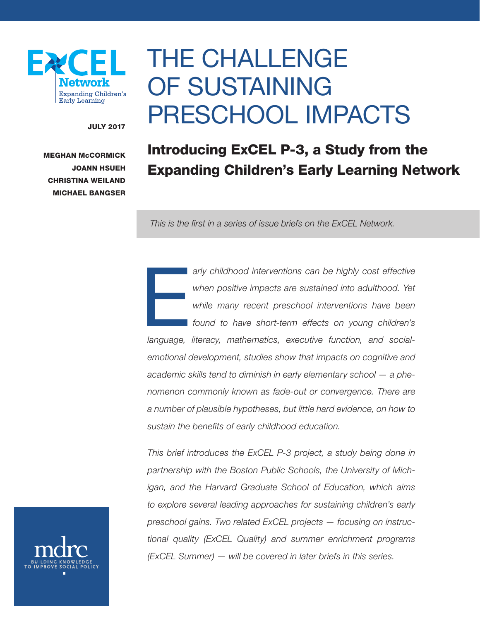

# THE CHALLENGE OF SUSTAINING PRESCHOOL IMPACTS

JULY 2017

MEGHAN McCORMICK JOANN HSUEH CHRISTINA WEILAND MICHAEL BANGSER

# Introducing ExCEL P-3, a Study from the Expanding Children's Early Learning Network

*This is the first in a series of issue briefs on the ExCEL Network.*

erland and the many childhood interventions can be highly cost effective<br>when positive impacts are sustained into adulthood. Yet<br>while many recent preschool interventions have been<br>found to have short-term effects on young *when positive impacts are sustained into adulthood. Yet while many recent preschool interventions have been found to have short-term effects on young children's language, literacy, mathematics, executive function, and socialemotional development, studies show that impacts on cognitive and academic skills tend to diminish in early elementary school — a phenomenon commonly known as fade-out or convergence. There are a number of plausible hypotheses, but little hard evidence, on how to sustain the benefits of early childhood education.*

*This brief introduces the ExCEL P-3 project, a study being done in partnership with the Boston Public Schools, the University of Michigan, and the Harvard Graduate School of Education, which aims to explore several leading approaches for sustaining children's early preschool gains. Two related ExCEL projects — focusing on instructional quality (ExCEL Quality) and summer enrichment programs (ExCEL Summer) — will be covered in later briefs in this series.*

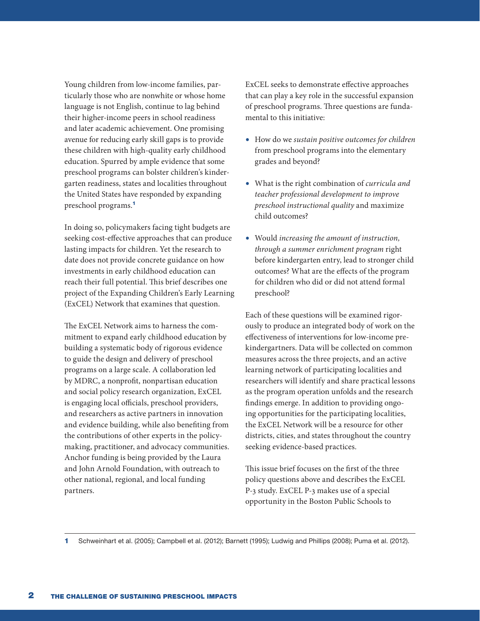Young children from low-income families, particularly those who are nonwhite or whose home language is not English, continue to lag behind their higher-income peers in school readiness and later academic achievement. One promising avenue for reducing early skill gaps is to provide these children with high-quality early childhood education. Spurred by ample evidence that some preschool programs can bolster children's kindergarten readiness, states and localities throughout the United States have responded by expanding preschool programs.<sup>1</sup>

In doing so, policymakers facing tight budgets are seeking cost-effective approaches that can produce lasting impacts for children. Yet the research to date does not provide concrete guidance on how investments in early childhood education can reach their full potential. This brief describes one project of the Expanding Children's Early Learning (ExCEL) Network that examines that question.

The ExCEL Network aims to harness the commitment to expand early childhood education by building a systematic body of rigorous evidence to guide the design and delivery of preschool programs on a large scale. A collaboration led by MDRC, a nonprofit, nonpartisan education and social policy research organization, ExCEL is engaging local officials, preschool providers, and researchers as active partners in innovation and evidence building, while also benefiting from the contributions of other experts in the policymaking, practitioner, and advocacy communities. Anchor funding is being provided by the Laura and John Arnold Foundation, with outreach to other national, regional, and local funding partners.

ExCEL seeks to demonstrate effective approaches that can play a key role in the successful expansion of preschool programs. Three questions are fundamental to this initiative:

- How do we *sustain positive outcomes for children* from preschool programs into the elementary grades and beyond?
- What is the right combination of *curricula and teacher professional development to improve preschool instructional quality* and maximize child outcomes?
- Would *increasing the amount of instruction, through a summer enrichment program* right before kindergarten entry, lead to stronger child outcomes? What are the effects of the program for children who did or did not attend formal preschool?

Each of these questions will be examined rigorously to produce an integrated body of work on the effectiveness of interventions for low-income prekindergartners. Data will be collected on common measures across the three projects, and an active learning network of participating localities and researchers will identify and share practical lessons as the program operation unfolds and the research findings emerge. In addition to providing ongoing opportunities for the participating localities, the ExCEL Network will be a resource for other districts, cities, and states throughout the country seeking evidence-based practices.

This issue brief focuses on the first of the three policy questions above and describes the ExCEL P-3 study. ExCEL P-3 makes use of a special opportunity in the Boston Public Schools to

1 Schweinhart et al. (2005); Campbell et al. (2012); Barnett (1995); Ludwig and Phillips (2008); Puma et al. (2012).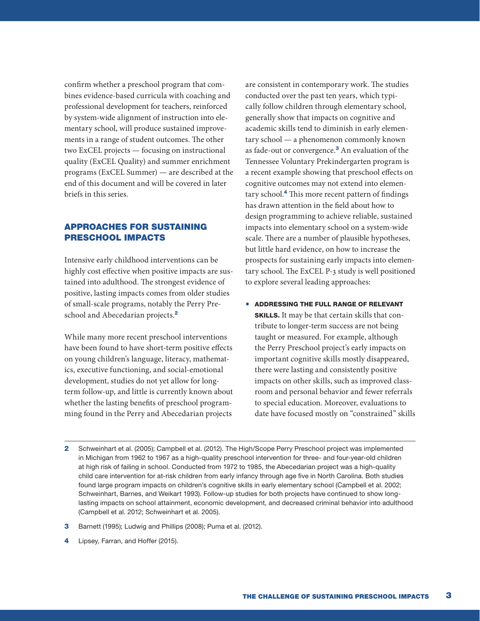confirm whether a preschool program that combines evidence-based curricula with coaching and professional development for teachers, reinforced by system-wide alignment of instruction into elementary school, will produce sustained improvements in a range of student outcomes. The other two ExCEL projects — focusing on instructional quality (ExCEL Quality) and summer enrichment programs (ExCEL Summer) — are described at the end of this document and will be covered in later briefs in this series.

# APPROACHES FOR SUSTAINING PRESCHOOL IMPACTS

Intensive early childhood interventions can be highly cost effective when positive impacts are sustained into adulthood. The strongest evidence of positive, lasting impacts comes from older studies of small-scale programs, notably the Perry Preschool and Abecedarian projects.<sup>2</sup>

While many more recent preschool interventions have been found to have short-term positive effects on young children's language, literacy, mathematics, executive functioning, and social-emotional development, studies do not yet allow for longterm follow-up, and little is currently known about whether the lasting benefits of preschool programming found in the Perry and Abecedarian projects

are consistent in contemporary work. The studies conducted over the past ten years, which typically follow children through elementary school, generally show that impacts on cognitive and academic skills tend to diminish in early elementary school — a phenomenon commonly known as fade-out or convergence.<sup>3</sup> An evaluation of the Tennessee Voluntary Prekindergarten program is a recent example showing that preschool effects on cognitive outcomes may not extend into elementary school.<sup>4</sup> This more recent pattern of findings has drawn attention in the field about how to design programming to achieve reliable, sustained impacts into elementary school on a system-wide scale. There are a number of plausible hypotheses, but little hard evidence, on how to increase the prospects for sustaining early impacts into elementary school. The ExCEL P-3 study is well positioned to explore several leading approaches:

- ADDRESSING THE FULL RANGE OF RELEVANT SKILLS. It may be that certain skills that contribute to longer-term success are not being taught or measured. For example, although the Perry Preschool project's early impacts on important cognitive skills mostly disappeared, there were lasting and consistently positive impacts on other skills, such as improved classroom and personal behavior and fewer referrals to special education. Moreover, evaluations to date have focused mostly on "constrained" skills
- 2 Schweinhart et al. (2005); Campbell et al. (2012). The High/Scope Perry Preschool project was implemented in Michigan from 1962 to 1967 as a high-quality preschool intervention for three- and four-year-old children at high risk of failing in school. Conducted from 1972 to 1985, the Abecedarian project was a high-quality child care intervention for at-risk children from early infancy through age five in North Carolina. Both studies found large program impacts on children's cognitive skills in early elementary school (Campbell et al. 2002; Schweinhart, Barnes, and Weikart 1993). Follow-up studies for both projects have continued to show longlasting impacts on school attainment, economic development, and decreased criminal behavior into adulthood (Campbell et al. 2012; Schweinhart et al. 2005).
- 3 Barnett (1995); Ludwig and Phillips (2008); Puma et al. (2012).
- 4 Lipsey, Farran, and Hoffer (2015).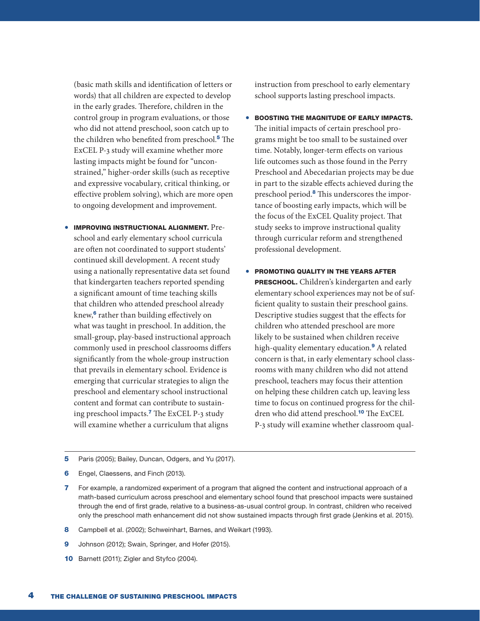(basic math skills and identification of letters or words) that all children are expected to develop in the early grades. Therefore, children in the control group in program evaluations, or those who did not attend preschool, soon catch up to the children who benefited from preschool.<sup>5</sup> The ExCEL P-3 study will examine whether more lasting impacts might be found for "unconstrained," higher-order skills (such as receptive and expressive vocabulary, critical thinking, or effective problem solving), which are more open to ongoing development and improvement.

• IMPROVING INSTRUCTIONAL ALIGNMENT. Preschool and early elementary school curricula are often not coordinated to support students' continued skill development. A recent study using a nationally representative data set found that kindergarten teachers reported spending a significant amount of time teaching skills that children who attended preschool already knew,<sup>6</sup> rather than building effectively on what was taught in preschool. In addition, the small-group, play-based instructional approach commonly used in preschool classrooms differs significantly from the whole-group instruction that prevails in elementary school. Evidence is emerging that curricular strategies to align the preschool and elementary school instructional content and format can contribute to sustaining preschool impacts.<sup>7</sup> The ExCEL P-3 study will examine whether a curriculum that aligns

instruction from preschool to early elementary school supports lasting preschool impacts.

- BOOSTING THE MAGNITUDE OF EARLY IMPACTS. The initial impacts of certain preschool programs might be too small to be sustained over time. Notably, longer-term effects on various life outcomes such as those found in the Perry Preschool and Abecedarian projects may be due in part to the sizable effects achieved during the preschool period.<sup>8</sup> This underscores the importance of boosting early impacts, which will be the focus of the ExCEL Quality project. That study seeks to improve instructional quality through curricular reform and strengthened professional development.
- PROMOTING QUALITY IN THE YEARS AFTER PRESCHOOL. Children's kindergarten and early elementary school experiences may not be of sufficient quality to sustain their preschool gains. Descriptive studies suggest that the effects for children who attended preschool are more likely to be sustained when children receive high-quality elementary education.<sup>9</sup> A related concern is that, in early elementary school classrooms with many children who did not attend preschool, teachers may focus their attention on helping these children catch up, leaving less time to focus on continued progress for the children who did attend preschool.<sup>10</sup> The ExCEL P-3 study will examine whether classroom qual-
- 5 Paris (2005); Bailey, Duncan, Odgers, and Yu (2017).
- 6 Engel, Claessens, and Finch (2013).
- 7 For example, a randomized experiment of a program that aligned the content and instructional approach of a math-based curriculum across preschool and elementary school found that preschool impacts were sustained through the end of first grade, relative to a business-as-usual control group. In contrast, children who received only the preschool math enhancement did not show sustained impacts through first grade (Jenkins et al. 2015).
- 8 Campbell et al. (2002); Schweinhart, Barnes, and Weikart (1993).
- 9 Johnson (2012); Swain, Springer, and Hofer (2015).
- 10 Barnett (2011); Zigler and Styfco (2004).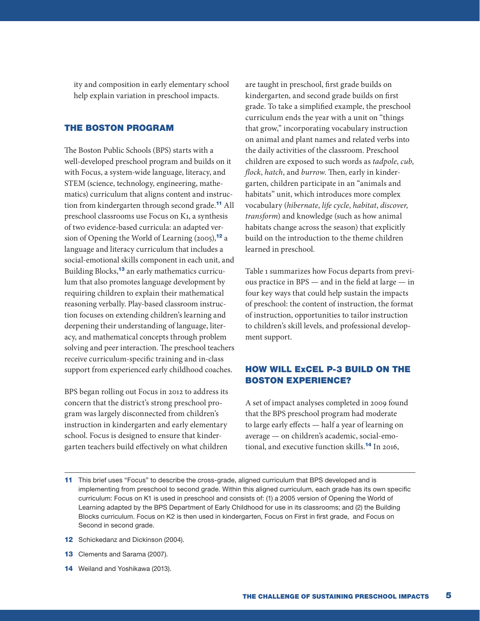ity and composition in early elementary school help explain variation in preschool impacts.

#### THE BOSTON PROGRAM

The Boston Public Schools (BPS) starts with a well-developed preschool program and builds on it with Focus, a system-wide language, literacy, and STEM (science, technology, engineering, mathematics) curriculum that aligns content and instruction from kindergarten through second grade.<sup>11</sup> All preschool classrooms use Focus on K1, a synthesis of two evidence-based curricula: an adapted version of Opening the World of Learning (2005),<sup>12</sup> a language and literacy curriculum that includes a social-emotional skills component in each unit, and Building Blocks,<sup>13</sup> an early mathematics curriculum that also promotes language development by requiring children to explain their mathematical reasoning verbally. Play-based classroom instruction focuses on extending children's learning and deepening their understanding of language, literacy, and mathematical concepts through problem solving and peer interaction. The preschool teachers receive curriculum-specific training and in-class support from experienced early childhood coaches.

BPS began rolling out Focus in 2012 to address its concern that the district's strong preschool program was largely disconnected from children's instruction in kindergarten and early elementary school. Focus is designed to ensure that kindergarten teachers build effectively on what children

are taught in preschool, first grade builds on kindergarten, and second grade builds on first grade. To take a simplified example, the preschool curriculum ends the year with a unit on "things that grow," incorporating vocabulary instruction on animal and plant names and related verbs into the daily activities of the classroom. Preschool children are exposed to such words as *tadpole*, *cub*, *flock*, *hatch*, and *burrow*. Then, early in kindergarten, children participate in an "animals and habitats" unit, which introduces more complex vocabulary (*hibernate*, *life cycle*, *habitat*, *discover*, *transform*) and knowledge (such as how animal habitats change across the season) that explicitly build on the introduction to the theme children learned in preschool.

Table 1 summarizes how Focus departs from previous practice in BPS — and in the field at large — in four key ways that could help sustain the impacts of preschool: the content of instruction, the format of instruction, opportunities to tailor instruction to children's skill levels, and professional development support.

### HOW WILL ExCEL P-3 BUILD ON THE BOSTON EXPERIENCE?

A set of impact analyses completed in 2009 found that the BPS preschool program had moderate to large early effects — half a year of learning on average — on children's academic, social-emotional, and executive function skills.<sup>14</sup> In 2016,

- 12 Schickedanz and Dickinson (2004).
- 13 Clements and Sarama (2007).
- 14 Weiland and Yoshikawa (2013).

<sup>11</sup> This brief uses "Focus" to describe the cross-grade, aligned curriculum that BPS developed and is implementing from preschool to second grade. Within this aligned curriculum, each grade has its own specific curriculum: Focus on K1 is used in preschool and consists of: (1) a 2005 version of Opening the World of Learning adapted by the BPS Department of Early Childhood for use in its classrooms; and (2) the Building Blocks curriculum. Focus on K2 is then used in kindergarten, Focus on First in first grade, and Focus on Second in second grade.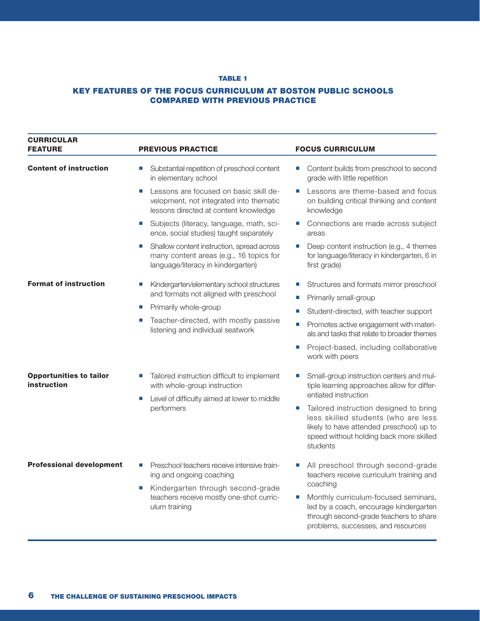#### TABLE 1

#### KEY FEATURES OF THE FOCUS CURRICULUM AT BOSTON PUBLIC SCHOOLS COMPARED WITH PREVIOUS PRACTICE

| <b>CURRICULAR</b><br><b>FEATURE</b>           | <b>PREVIOUS PRACTICE</b>                                                                                                         | <b>FOCUS CURRICULUM</b>                                                                                                                                                                                         |
|-----------------------------------------------|----------------------------------------------------------------------------------------------------------------------------------|-----------------------------------------------------------------------------------------------------------------------------------------------------------------------------------------------------------------|
| <b>Content of instruction</b>                 | Substantial repetition of preschool content<br>Ш<br>in elementary school                                                         | Content builds from preschool to second<br>U.<br>grade with little repetition                                                                                                                                   |
|                                               | Lessons are focused on basic skill de-<br>Ш<br>velopment, not integrated into thematic<br>lessons directed at content knowledge  | Lessons are theme-based and focus<br>on building critical thinking and content<br>knowledge                                                                                                                     |
|                                               | Subjects (literacy, language, math, sci-<br>$\mathcal{L}_{\mathcal{A}}$<br>ence, social studies) taught separately               | Connections are made across subject<br>areas                                                                                                                                                                    |
|                                               | Shallow content instruction, spread across<br>Ш<br>many content areas (e.g., 16 topics for<br>language/literacy in kindergarten) | Deep content instruction (e.g., 4 themes<br>for language/literacy in kindergarten, 6 in<br>first grade)                                                                                                         |
| <b>Format of instruction</b>                  | Kindergarten/elementary school structures<br>$\Box$<br>and formats not aligned with preschool                                    | Structures and formats mirror preschool                                                                                                                                                                         |
|                                               |                                                                                                                                  | Primarily small-group<br>$\mathcal{L}_{\mathcal{A}}$                                                                                                                                                            |
|                                               | Primarily whole-group<br>Ш                                                                                                       | Student-directed, with teacher support                                                                                                                                                                          |
|                                               | Teacher-directed, with mostly passive<br>П<br>listening and individual seatwork                                                  | Promotes active engagement with materi-<br>$\mathcal{L}_{\mathcal{A}}$<br>als and tasks that relate to broader themes                                                                                           |
|                                               |                                                                                                                                  | Project-based, including collaborative<br>work with peers                                                                                                                                                       |
| <b>Opportunities to tailor</b><br>instruction | Tailored instruction difficult to implement<br>ш<br>with whole-group instruction                                                 | Small-group instruction centers and mul-<br>U.<br>tiple learning approaches allow for differ-                                                                                                                   |
|                                               | Level of difficulty aimed at lower to middle<br>U,<br>performers                                                                 | entiated instruction                                                                                                                                                                                            |
|                                               |                                                                                                                                  | Tailored instruction designed to bring<br>$\mathcal{L}_{\mathcal{A}}$<br>less skilled students (who are less<br>likely to have attended preschool) up to<br>speed without holding back more skilled<br>students |
| <b>Professional development</b>               | Preschool teachers receive intensive train-<br>ing and ongoing coaching                                                          | All preschool through second-grade<br>teachers receive curriculum training and                                                                                                                                  |
|                                               | Kindergarten through second-grade<br>Ш<br>teachers receive mostly one-shot curric-<br>ulum training                              | coaching                                                                                                                                                                                                        |
|                                               |                                                                                                                                  | Monthly curriculum-focused seminars,<br>×.<br>led by a coach, encourage kindergarten<br>through second-grade teachers to share<br>problems, successes, and resources                                            |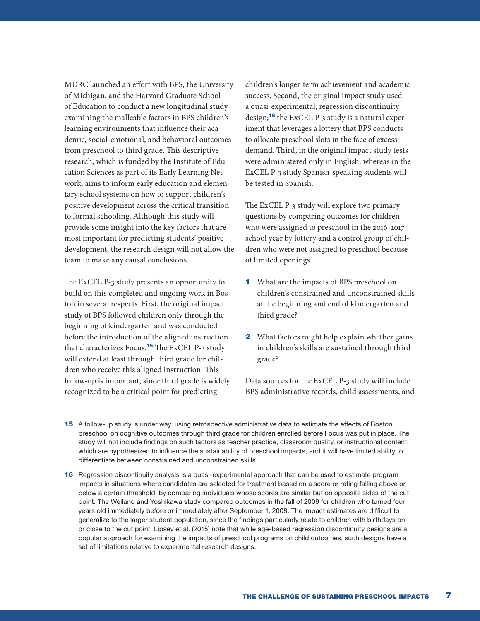MDRC launched an effort with BPS, the University of Michigan, and the Harvard Graduate School of Education to conduct a new longitudinal study examining the malleable factors in BPS children's learning environments that influence their academic, social-emotional, and behavioral outcomes from preschool to third grade. This descriptive research, which is funded by the Institute of Education Sciences as part of its Early Learning Network, aims to inform early education and elementary school systems on how to support children's positive development across the critical transition to formal schooling. Although this study will provide some insight into the key factors that are most important for predicting students' positive development, the research design will not allow the team to make any causal conclusions.

The ExCEL P-3 study presents an opportunity to build on this completed and ongoing work in Boston in several respects. First, the original impact study of BPS followed children only through the beginning of kindergarten and was conducted before the introduction of the aligned instruction that characterizes Focus.<sup>15</sup> The ExCEL P-3 study will extend at least through third grade for children who receive this aligned instruction. This follow-up is important, since third grade is widely recognized to be a critical point for predicting

children's longer-term achievement and academic success. Second, the original impact study used a quasi-experimental, regression discontinuity design;<sup>16</sup> the ExCEL P-3 study is a natural experiment that leverages a lottery that BPS conducts to allocate preschool slots in the face of excess demand. Third, in the original impact study tests were administered only in English, whereas in the ExCEL P-3 study Spanish-speaking students will be tested in Spanish.

The ExCEL P-3 study will explore two primary questions by comparing outcomes for children who were assigned to preschool in the 2016-2017 school year by lottery and a control group of children who were not assigned to preschool because of limited openings.

- 1 What are the impacts of BPS preschool on children's constrained and unconstrained skills at the beginning and end of kindergarten and third grade?
- **2** What factors might help explain whether gains in children's skills are sustained through third grade?

Data sources for the ExCEL P-3 study will include BPS administrative records, child assessments, and

- 15 A follow-up study is under way, using retrospective administrative data to estimate the effects of Boston preschool on cognitive outcomes through third grade for children enrolled before Focus was put in place. The study will not include findings on such factors as teacher practice, classroom quality, or instructional content, which are hypothesized to influence the sustainability of preschool impacts, and it will have limited ability to differentiate between constrained and unconstrained skills.
- 16 Regression discontinuity analysis is a quasi-experimental approach that can be used to estimate program impacts in situations where candidates are selected for treatment based on a score or rating falling above or below a certain threshold, by comparing individuals whose scores are similar but on opposite sides of the cut point. The Weiland and Yoshikawa study compared outcomes in the fall of 2009 for children who turned four years old immediately before or immediately after September 1, 2008. The impact estimates are difficult to generalize to the larger student population, since the findings particularly relate to children with birthdays on or close to the cut point. Lipsey et al. (2015) note that while age-based regression discontinuity designs are a popular approach for examining the impacts of preschool programs on child outcomes, such designs have a set of limitations relative to experimental research designs.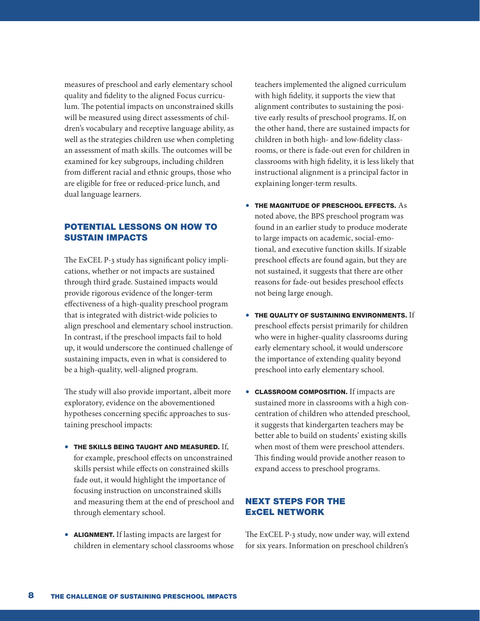measures of preschool and early elementary school quality and fidelity to the aligned Focus curriculum. The potential impacts on unconstrained skills will be measured using direct assessments of children's vocabulary and receptive language ability, as well as the strategies children use when completing an assessment of math skills. The outcomes will be examined for key subgroups, including children from different racial and ethnic groups, those who are eligible for free or reduced-price lunch, and dual language learners.

# POTENTIAL LESSONS ON HOW TO SUSTAIN IMPACTS

The ExCEL P-3 study has significant policy implications, whether or not impacts are sustained through third grade. Sustained impacts would provide rigorous evidence of the longer-term effectiveness of a high-quality preschool program that is integrated with district-wide policies to align preschool and elementary school instruction. In contrast, if the preschool impacts fail to hold up, it would underscore the continued challenge of sustaining impacts, even in what is considered to be a high-quality, well-aligned program.

The study will also provide important, albeit more exploratory, evidence on the abovementioned hypotheses concerning specific approaches to sustaining preschool impacts:

- THE SKILLS BEING TAUGHT AND MEASURED. If, for example, preschool effects on unconstrained skills persist while effects on constrained skills fade out, it would highlight the importance of focusing instruction on unconstrained skills and measuring them at the end of preschool and through elementary school.
- ALIGNMENT. If lasting impacts are largest for children in elementary school classrooms whose

teachers implemented the aligned curriculum with high fidelity, it supports the view that alignment contributes to sustaining the positive early results of preschool programs. If, on the other hand, there are sustained impacts for children in both high- and low-fidelity classrooms, or there is fade-out even for children in classrooms with high fidelity, it is less likely that instructional alignment is a principal factor in explaining longer-term results.

- THE MAGNITUDE OF PRESCHOOL EFFECTS. As noted above, the BPS preschool program was found in an earlier study to produce moderate to large impacts on academic, social-emotional, and executive function skills. If sizable preschool effects are found again, but they are not sustained, it suggests that there are other reasons for fade-out besides preschool effects not being large enough.
- THE QUALITY OF SUSTAINING ENVIRONMENTS. If preschool effects persist primarily for children who were in higher-quality classrooms during early elementary school, it would underscore the importance of extending quality beyond preschool into early elementary school.
- CLASSROOM COMPOSITION. If impacts are sustained more in classrooms with a high concentration of children who attended preschool, it suggests that kindergarten teachers may be better able to build on students' existing skills when most of them were preschool attenders. This finding would provide another reason to expand access to preschool programs.

#### NEXT STEPS FOR THE ExCEL NETWORK

The ExCEL P-3 study, now under way, will extend for six years. Information on preschool children's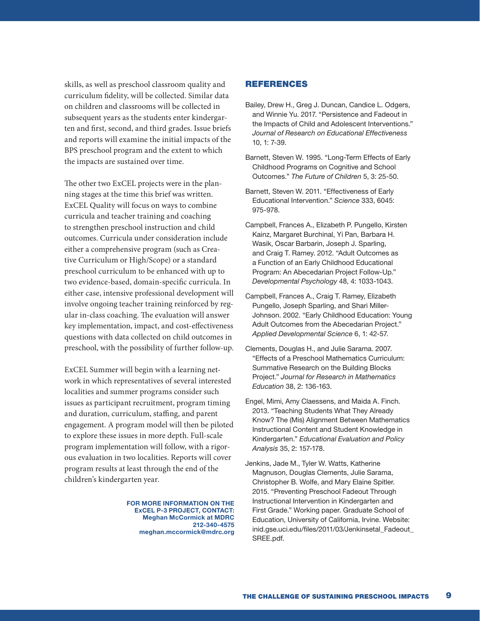skills, as well as preschool classroom quality and curriculum fidelity, will be collected. Similar data on children and classrooms will be collected in subsequent years as the students enter kindergarten and first, second, and third grades. Issue briefs and reports will examine the initial impacts of the BPS preschool program and the extent to which the impacts are sustained over time.

The other two ExCEL projects were in the planning stages at the time this brief was written. ExCEL Quality will focus on ways to combine curricula and teacher training and coaching to strengthen preschool instruction and child outcomes. Curricula under consideration include either a comprehensive program (such as Creative Curriculum or High/Scope) or a standard preschool curriculum to be enhanced with up to two evidence-based, domain-specific curricula. In either case, intensive professional development will involve ongoing teacher training reinforced by regular in-class coaching. The evaluation will answer key implementation, impact, and cost-effectiveness questions with data collected on child outcomes in preschool, with the possibility of further follow-up.

ExCEL Summer will begin with a learning network in which representatives of several interested localities and summer programs consider such issues as participant recruitment, program timing and duration, curriculum, staffing, and parent engagement. A program model will then be piloted to explore these issues in more depth. Full-scale program implementation will follow, with a rigorous evaluation in two localities. Reports will cover program results at least through the end of the children's kindergarten year.

> FOR MORE INFORMATION ON THE ExCEL P-3 PROJECT, CONTACT: Meghan McCormick at MDRC 212-340-4575 meghan.mccormick@mdrc.org

#### **REFERENCES**

- Bailey, Drew H., Greg J. Duncan, Candice L. Odgers, and Winnie Yu. 2017. "Persistence and Fadeout in the Impacts of Child and Adolescent Interventions." *Journal of Research on Educational Effectiveness* 10, 1: 7-39.
- Barnett, Steven W. 1995. "Long-Term Effects of Early Childhood Programs on Cognitive and School Outcomes." *The Future of Children* 5, 3: 25-50.
- Barnett, Steven W. 2011. "Effectiveness of Early Educational Intervention." *Science* 333, 6045: 975-978.
- Campbell, Frances A., Elizabeth P. Pungello, Kirsten Kainz, Margaret Burchinal, Yi Pan, Barbara H. Wasik, Oscar Barbarin, Joseph J. Sparling, and Craig T. Ramey. 2012. "Adult Outcomes as a Function of an Early Childhood Educational Program: An Abecedarian Project Follow-Up." *Developmental Psychology* 48, 4: 1033-1043.
- Campbell, Frances A., Craig T. Ramey, Elizabeth Pungello, Joseph Sparling, and Shari Miller-Johnson. 2002. "Early Childhood Education: Young Adult Outcomes from the Abecedarian Project." *Applied Developmental Science* 6, 1: 42-57.
- Clements, Douglas H., and Julie Sarama. 2007. "Effects of a Preschool Mathematics Curriculum: Summative Research on the Building Blocks Project." *Journal for Research in Mathematics Education* 38, 2: 136-163.
- Engel, Mimi, Amy Claessens, and Maida A. Finch. 2013. "Teaching Students What They Already Know? The (Mis) Alignment Between Mathematics Instructional Content and Student Knowledge in Kindergarten." *Educational Evaluation and Policy Analysis* 35, 2: 157-178.
- Jenkins, Jade M., Tyler W. Watts, Katherine Magnuson, Douglas Clements, Julie Sarama, Christopher B. Wolfe, and Mary Elaine Spitler. 2015. "Preventing Preschool Fadeout Through Instructional Intervention in Kindergarten and First Grade." Working paper. Graduate School of Education, University of California, Irvine. Website: inid.gse.uci.edu/files/2011/03/Jenkinsetal\_Fadeout\_ SREE.pdf.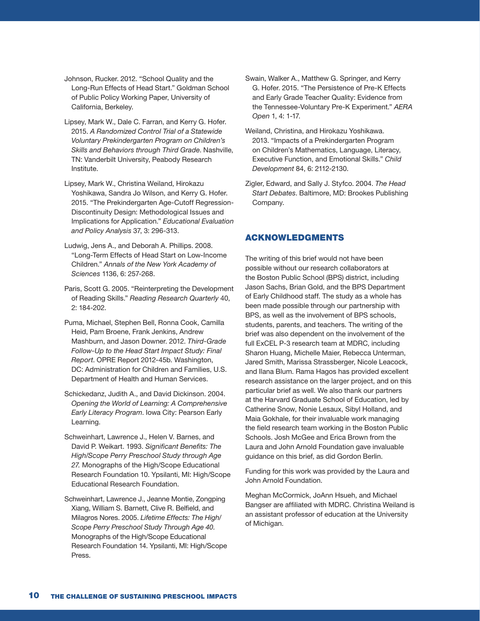- Johnson, Rucker. 2012. "School Quality and the Long-Run Effects of Head Start." Goldman School of Public Policy Working Paper, University of California, Berkeley.
- Lipsey, Mark W., Dale C. Farran, and Kerry G. Hofer. 2015. *A Randomized Control Trial of a Statewide Voluntary Prekindergarten Program on Children's Skills and Behaviors through Third Grade*. Nashville, TN: Vanderbilt University, Peabody Research Institute.
- Lipsey, Mark W., Christina Weiland, Hirokazu Yoshikawa, Sandra Jo Wilson, and Kerry G. Hofer. 2015. "The Prekindergarten Age-Cutoff Regression-Discontinuity Design: Methodological Issues and Implications for Application." *Educational Evaluation and Policy Analysis* 37, 3: 296-313.
- Ludwig, Jens A., and Deborah A. Phillips. 2008. "Long-Term Effects of Head Start on Low-Income Children." *Annals of the New York Academy of Sciences* 1136, 6: 257-268.
- Paris, Scott G. 2005. "Reinterpreting the Development of Reading Skills." *Reading Research Quarterly* 40, 2: 184-202.
- Puma, Michael, Stephen Bell, Ronna Cook, Camilla Heid, Pam Broene, Frank Jenkins, Andrew Mashburn, and Jason Downer. 2012. *Third-Grade Follow-Up to the Head Start Impact Study: Final Report*. OPRE Report 2012-45b. Washington, DC: Administration for Children and Families, U.S. Department of Health and Human Services.
- Schickedanz, Judith A., and David Dickinson. 2004. *Opening the World of Learning: A Comprehensive Early Literacy Program*. Iowa City: Pearson Early Learning.
- Schweinhart, Lawrence J., Helen V. Barnes, and David P. Weikart. 1993. *Significant Benefits: The High/Scope Perry Preschool Study through Age 27.* Monographs of the High/Scope Educational Research Foundation 10. Ypsilanti, MI: High/Scope Educational Research Foundation.
- Schweinhart, Lawrence J., Jeanne Montie, Zongping Xiang, William S. Barnett, Clive R. Belfield, and Milagros Nores. 2005. *Lifetime Effects: The High/ Scope Perry Preschool Study Through Age 40*. Monographs of the High/Scope Educational Research Foundation 14. Ypsilanti, MI: High/Scope Press.
- Swain, Walker A., Matthew G. Springer, and Kerry G. Hofer. 2015. "The Persistence of Pre-K Effects and Early Grade Teacher Quality: Evidence from the Tennessee-Voluntary Pre-K Experiment." *AERA Open* 1, 4: 1-17.
- Weiland, Christina, and Hirokazu Yoshikawa. 2013. "Impacts of a Prekindergarten Program on Children's Mathematics, Language, Literacy, Executive Function, and Emotional Skills." *Child Development* 84, 6: 2112-2130.
- Zigler, Edward, and Sally J. Styfco. 2004. *The Head Start Debates*. Baltimore, MD: Brookes Publishing Company.

#### ACKNOWLEDGMENTS

The writing of this brief would not have been possible without our research collaborators at the Boston Public School (BPS) district, including Jason Sachs, Brian Gold, and the BPS Department of Early Childhood staff. The study as a whole has been made possible through our partnership with BPS, as well as the involvement of BPS schools, students, parents, and teachers. The writing of the brief was also dependent on the involvement of the full ExCEL P-3 research team at MDRC, including Sharon Huang, Michelle Maier, Rebecca Unterman, Jared Smith, Marissa Strassberger, Nicole Leacock, and Ilana Blum. Rama Hagos has provided excellent research assistance on the larger project, and on this particular brief as well. We also thank our partners at the Harvard Graduate School of Education, led by Catherine Snow, Nonie Lesaux, Sibyl Holland, and Maia Gokhale, for their invaluable work managing the field research team working in the Boston Public Schools. Josh McGee and Erica Brown from the Laura and John Arnold Foundation gave invaluable guidance on this brief, as did Gordon Berlin.

Funding for this work was provided by the Laura and John Arnold Foundation.

Meghan McCormick, JoAnn Hsueh, and Michael Bangser are affiliated with MDRC. Christina Weiland is an assistant professor of education at the University of Michigan.